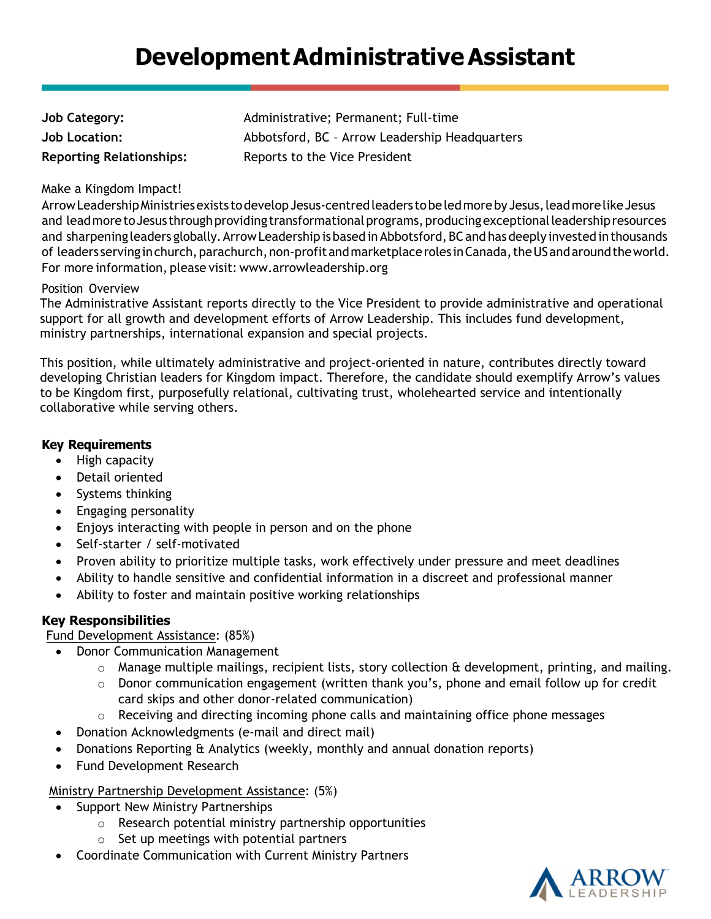# **Development Administrative Assistant**

| Job Category:                   | Administrative |
|---------------------------------|----------------|
| Job Location:                   | Abbotsford, B  |
| <b>Reporting Relationships:</b> | Reports to the |

e; Permanent; Full-time **Job Location:** Abbotsford, BC – Arrow Leadership Headquarters **Reportive President** 

#### Make a Kingdom Impact!

Arrow Leadership Ministries exists to develop Jesus-centred leaders to be led more by Jesus, lead more like Jesus and lead more to Jesus through providing transformational programs, producing exceptional leadership resources and sharpening leaders globally. Arrow Leadership is based in Abbotsford, BC and has deeply invested in thousands of leaders serving in church, parachurch, non-profit and marketplace roles in Canada, the US and around the world. For more information, please visit: www.arrowleadership.org

#### Position Overview

The Administrative Assistant reports directly to the Vice President to provide administrative and operational support for all growth and development efforts of Arrow Leadership. This includes fund development, ministry partnerships, international expansion and special projects.

This position, while ultimately administrative and project-oriented in nature, contributes directly toward developing Christian leaders for Kingdom impact. Therefore, the candidate should exemplify Arrow's values to be Kingdom first, purposefully relational, cultivating trust, wholehearted service and intentionally collaborative while serving others.

#### **Key Requirements**

- High capacity
- Detail oriented
- Systems thinking
- Engaging personality
- Enjoys interacting with people in person and on the phone
- Self-starter / self-motivated
- Proven ability to prioritize multiple tasks, work effectively under pressure and meet deadlines
- Ability to handle sensitive and confidential information in a discreet and professional manner
- Ability to foster and maintain positive working relationships

## **Key Responsibilities**

#### Fund Development Assistance: (85%)

- Donor Communication Management
	- $\circ$  Manage multiple mailings, recipient lists, story collection  $\alpha$  development, printing, and mailing.
	- o Donor communication engagement (written thank you's, phone and email follow up for credit card skips and other donor-related communication)
	- $\circ$  Receiving and directing incoming phone calls and maintaining office phone messages
- Donation Acknowledgments (e-mail and direct mail)
- Donations Reporting & Analytics (weekly, monthly and annual donation reports)
- Fund Development Research

## Ministry Partnership Development Assistance: (5%)

- Support New Ministry Partnerships
	- o Research potential ministry partnership opportunities
	- $\circ$  Set up meetings with potential partners
- Coordinate Communication with Current Ministry Partners